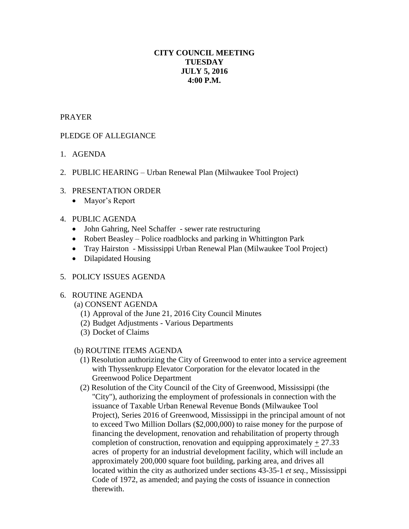# **CITY COUNCIL MEETING TUESDAY JULY 5, 2016 4:00 P.M.**

#### PRAYER

# PLEDGE OF ALLEGIANCE

- 1. AGENDA
- 2. PUBLIC HEARING Urban Renewal Plan (Milwaukee Tool Project)
- 3. PRESENTATION ORDER
	- Mayor's Report

# 4. PUBLIC AGENDA

- John Gahring, Neel Schaffer sewer rate restructuring
- Robert Beasley Police roadblocks and parking in Whittington Park
- Tray Hairston Mississippi Urban Renewal Plan (Milwaukee Tool Project)
- Dilapidated Housing

### 5. POLICY ISSUES AGENDA

### 6. ROUTINE AGENDA

(a) CONSENT AGENDA

- (1) Approval of the June 21, 2016 City Council Minutes
- (2) Budget Adjustments Various Departments
- (3) Docket of Claims

### (b) ROUTINE ITEMS AGENDA

- (1) Resolution authorizing the City of Greenwood to enter into a service agreement with Thyssenkrupp Elevator Corporation for the elevator located in the Greenwood Police Department
- (2) Resolution of the City Council of the City of Greenwood, Mississippi (the "City"), authorizing the employment of professionals in connection with the issuance of Taxable Urban Renewal Revenue Bonds (Milwaukee Tool Project), Series 2016 of Greenwood, Mississippi in the principal amount of not to exceed Two Million Dollars (\$2,000,000) to raise money for the purpose of financing the development, renovation and rehabilitation of property through completion of construction, renovation and equipping approximately  $\pm$  27.33 acres of property for an industrial development facility, which will include an approximately 200,000 square foot building, parking area, and drives all located within the city as authorized under sections 43-35-1 *et seq.*, Mississippi Code of 1972, as amended; and paying the costs of issuance in connection therewith.